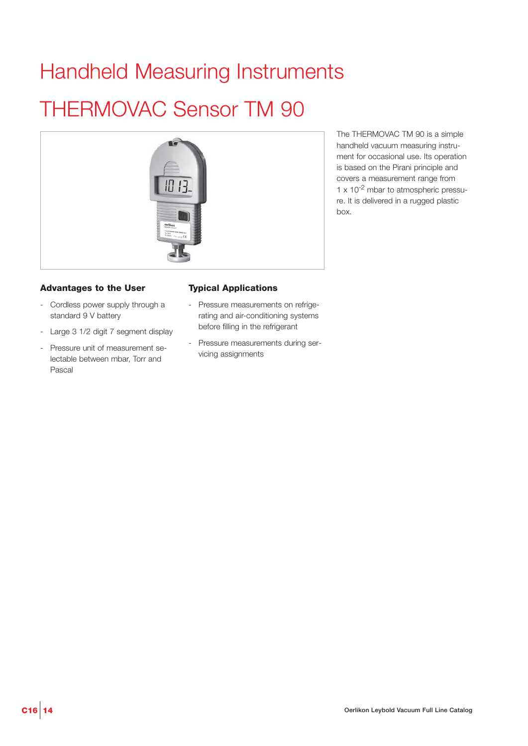# Handheld Measuring Instruments

# THERMOVAC Sensor TM 90



## **Advantages to the User**

- Cordless power supply through a standard 9 V battery
- Large 3 1/2 digit 7 segment display
- Pressure unit of measurement selectable between mbar, Torr and Pascal

### **Typical Applications**

- Pressure measurements on refrigerating and air-conditioning systems before filling in the refrigerant
- Pressure measurements during servicing assignments

The THERMOVAC TM 90 is a simple handheld vacuum measuring instrument for occasional use. Its operation is based on the Pirani principle and covers a measurement range from  $1 \times 10^{-2}$  mbar to atmospheric pressure. It is delivered in a rugged plastic box.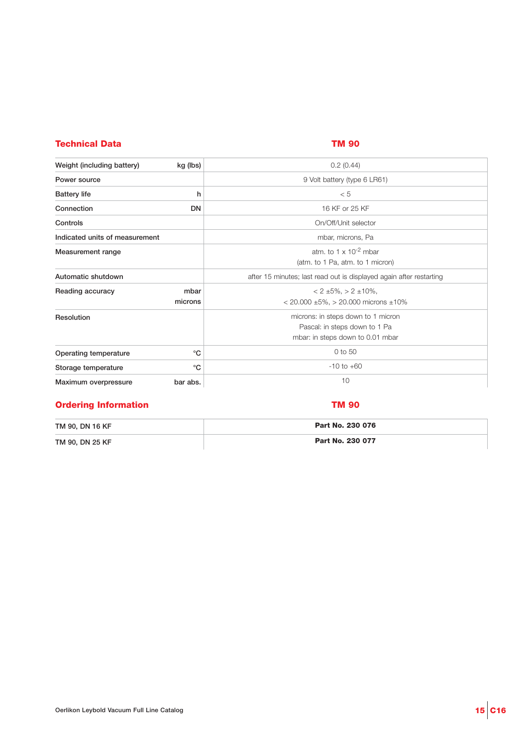# **Technical Data TM 90**

| Weight (including battery)<br>kg (lbs)<br>0.2(0.44)<br>9 Volt battery (type 6 LR61)<br>Power source<br><b>Battery life</b><br>h<br>< 5<br>Connection<br><b>DN</b><br>16 KF or 25 KF<br>Controls<br>On/Off/Unit selector<br>Indicated units of measurement<br>mbar, microns, Pa<br>atm. to 1 $\times$ 10 <sup>-2</sup> mbar<br>Measurement range<br>(atm. to 1 Pa, atm. to 1 micron)<br>Automatic shutdown<br>after 15 minutes; last read out is displayed again after restarting<br>Reading accuracy<br>mbar<br>$< 2 \pm 5\%$ , $> 2 \pm 10\%$ ,<br>microns<br>$<$ 20.000 $\pm$ 5%, $>$ 20.000 microns $\pm$ 10%<br>microns: in steps down to 1 micron<br>Resolution<br>Pascal: in steps down to 1 Pa<br>mbar: in steps down to 0.01 mbar<br>0 to 50<br>$^{\circ}C$<br>Operating temperature<br>$-10$ to $+60$<br>$^{\circ}C$<br>Storage temperature<br>10<br>Maximum overpressure<br>bar abs. |  |
|------------------------------------------------------------------------------------------------------------------------------------------------------------------------------------------------------------------------------------------------------------------------------------------------------------------------------------------------------------------------------------------------------------------------------------------------------------------------------------------------------------------------------------------------------------------------------------------------------------------------------------------------------------------------------------------------------------------------------------------------------------------------------------------------------------------------------------------------------------------------------------------------|--|
|                                                                                                                                                                                                                                                                                                                                                                                                                                                                                                                                                                                                                                                                                                                                                                                                                                                                                                |  |
|                                                                                                                                                                                                                                                                                                                                                                                                                                                                                                                                                                                                                                                                                                                                                                                                                                                                                                |  |
|                                                                                                                                                                                                                                                                                                                                                                                                                                                                                                                                                                                                                                                                                                                                                                                                                                                                                                |  |
|                                                                                                                                                                                                                                                                                                                                                                                                                                                                                                                                                                                                                                                                                                                                                                                                                                                                                                |  |
|                                                                                                                                                                                                                                                                                                                                                                                                                                                                                                                                                                                                                                                                                                                                                                                                                                                                                                |  |
|                                                                                                                                                                                                                                                                                                                                                                                                                                                                                                                                                                                                                                                                                                                                                                                                                                                                                                |  |
|                                                                                                                                                                                                                                                                                                                                                                                                                                                                                                                                                                                                                                                                                                                                                                                                                                                                                                |  |
|                                                                                                                                                                                                                                                                                                                                                                                                                                                                                                                                                                                                                                                                                                                                                                                                                                                                                                |  |
|                                                                                                                                                                                                                                                                                                                                                                                                                                                                                                                                                                                                                                                                                                                                                                                                                                                                                                |  |
|                                                                                                                                                                                                                                                                                                                                                                                                                                                                                                                                                                                                                                                                                                                                                                                                                                                                                                |  |
|                                                                                                                                                                                                                                                                                                                                                                                                                                                                                                                                                                                                                                                                                                                                                                                                                                                                                                |  |
|                                                                                                                                                                                                                                                                                                                                                                                                                                                                                                                                                                                                                                                                                                                                                                                                                                                                                                |  |
|                                                                                                                                                                                                                                                                                                                                                                                                                                                                                                                                                                                                                                                                                                                                                                                                                                                                                                |  |

# **Ordering Information TM 90**

| TM 90, DN 16 KF | Part No. 230 076 |
|-----------------|------------------|
| TM 90, DN 25 KF | Part No. 230 077 |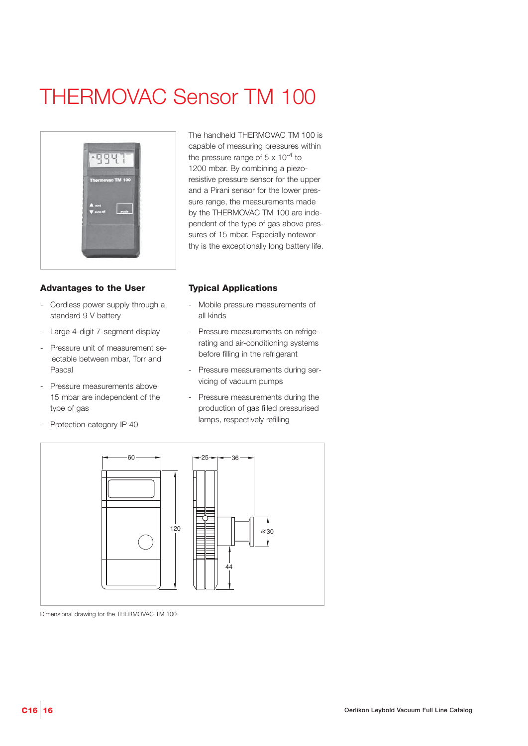# THERMOVAC Sensor TM 100



### **Advantages to the User**

- Cordless power supply through a standard 9 V battery
- Large 4-digit 7-segment display
- Pressure unit of measurement selectable between mbar, Torr and Pascal
- Pressure measurements above 15 mbar are independent of the type of gas
- Protection category IP 40

The handheld THERMOVAC TM 100 is capable of measuring pressures within the pressure range of  $5 \times 10^{-4}$  to 1200 mbar. By combining a piezoresistive pressure sensor for the upper and a Pirani sensor for the lower pressure range, the measurements made by the THERMOVAC TM 100 are independent of the type of gas above pressures of 15 mbar. Especially noteworthy is the exceptionally long battery life.

### **Typical Applications**

- Mobile pressure measurements of all kinds
- Pressure measurements on refrigerating and air-conditioning systems before filling in the refrigerant
- Pressure measurements during servicing of vacuum pumps
- Pressure measurements during the production of gas filled pressurised lamps, respectively refilling



Dimensional drawing for the THERMOVAC TM 100